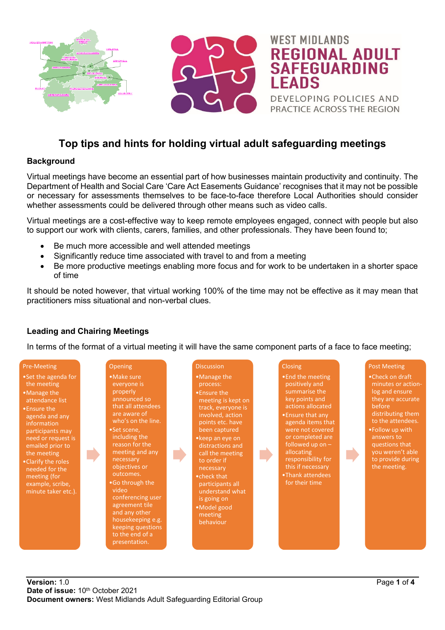

# **Top tips and hints for holding virtual adult safeguarding meetings**

### **Background**

Virtual meetings have become an essential part of how businesses maintain productivity and continuity. The Department of Health and Social Care 'Care Act Easements Guidance' recognises that it may not be possible or necessary for assessments themselves to be face-to-face therefore Local Authorities should consider whether assessments could be delivered through other means such as video calls.

Virtual meetings are a cost-effective way to keep remote employees engaged, connect with people but also to support our work with clients, carers, families, and other professionals. They have been found to;

- Be much more accessible and well attended meetings
- Significantly reduce time associated with travel to and from a meeting
- Be more productive meetings enabling more focus and for work to be undertaken in a shorter space of time

It should be noted however, that virtual working 100% of the time may not be effective as it may mean that practitioners miss situational and non-verbal clues.

### **Leading and Chairing Meetings**

In terms of the format of a virtual meeting it will have the same component parts of a face to face meeting;

### Pre-Meeting

•Set the agenda for the meeting •Manage the attendance list

•Ensure the agenda and any information participants may need or request is emailed prior to the meeting •Clarify the roles needed for the meeting (for

example, scribe, minute taker etc.).

#### •Make sure everyone is properly announced so

**Opening** 

that all attendees who's on the line. •Set scene, including the reason for the meeting and any necessary objectives or outcomes. •Go through the video conferencing user agreement tile and any other housekeeping e.g.

keeping questions to the end of a presentation.

### Discussion

•Manage the process: •Ensure the meeting is kept on track, everyone is involved, action points etc. have been captured •keep an eye on

- distractions and call the meeting to order if necessary •check that
- participants all understand what is going on
- •Model good meeting behaviour

## **Closing**

•End the meeting positively and summarise the key points and actions allocated •Ensure that any agenda items that were not covered or completed are followed up on – allocating responsibility for this if necessary •Thank attendees for their time

### Post Meeting

•Check on draft minutes or actionlog and ensure they are accurate before distributing them to the attendees. •Follow up with questions that

you weren't able to provide during the meeting.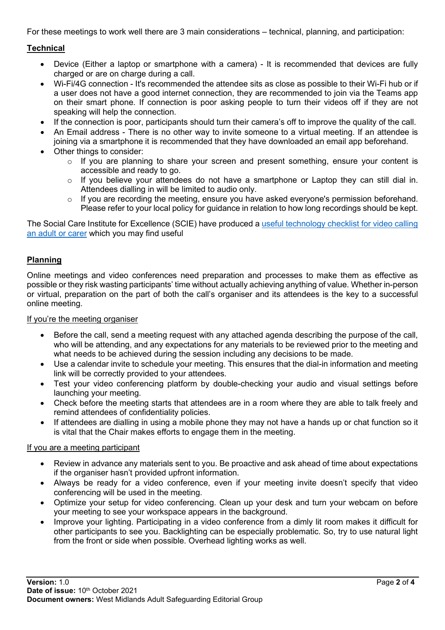For these meetings to work well there are 3 main considerations – technical, planning, and participation:

### **Technical**

- Device (Either a laptop or smartphone with a camera) It is recommended that devices are fully charged or are on charge during a call.
- Wi-Fi/4G connection It's recommended the attendee sits as close as possible to their Wi-Fi hub or if a user does not have a good internet connection, they are recommended to join via the Teams app on their smart phone. If connection is poor asking people to turn their videos off if they are not speaking will help the connection.
- If the connection is poor, participants should turn their camera's off to improve the quality of the call.
- An Email address There is no other way to invite someone to a virtual meeting. If an attendee is joining via a smartphone it is recommended that they have downloaded an email app beforehand.
- Other things to consider:
	- o If you are planning to share your screen and present something, ensure your content is accessible and ready to go.
	- $\circ$  If you believe your attendees do not have a smartphone or Laptop they can still dial in. Attendees dialling in will be limited to audio only.
	- o If you are recording the meeting, ensure you have asked everyone's permission beforehand. Please refer to your local policy for guidance in relation to how long recordings should be kept.

The Social Care Institute for Excellence (SCIE) have produced a useful technology checklist for video calling an adult or carer which you may find useful

### **Planning**

Online meetings and video conferences need preparation and processes to make them as effective as possible or they risk wasting participants' time without actually achieving anything of value. Whether in-person or virtual, preparation on the part of both the call's organiser and its attendees is the key to a successful online meeting.

If you're the meeting organiser

- Before the call, send a meeting request with any attached agenda describing the purpose of the call, who will be attending, and any expectations for any materials to be reviewed prior to the meeting and what needs to be achieved during the session including any decisions to be made.
- Use a calendar invite to schedule your meeting. This ensures that the dial-in information and meeting link will be correctly provided to your attendees.
- Test your video conferencing platform by double-checking your audio and visual settings before launching your meeting.
- Check before the meeting starts that attendees are in a room where they are able to talk freely and remind attendees of confidentiality policies.
- If attendees are dialling in using a mobile phone they may not have a hands up or chat function so it is vital that the Chair makes efforts to engage them in the meeting.

### If you are a meeting participant

- Review in advance any materials sent to you. Be proactive and ask ahead of time about expectations if the organiser hasn't provided upfront information.
- Always be ready for a video conference, even if your meeting invite doesn't specify that video conferencing will be used in the meeting.
- Optimize your setup for video conferencing. Clean up your desk and turn your webcam on before your meeting to see your workspace appears in the background.
- Improve your lighting. Participating in a video conference from a dimly lit room makes it difficult for other participants to see you. Backlighting can be especially problematic. So, try to use natural light from the front or side when possible. Overhead lighting works as well.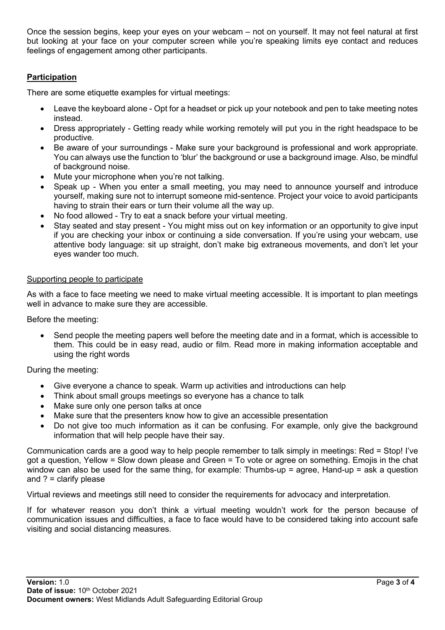Once the session begins, keep your eyes on your webcam – not on yourself. It may not feel natural at first but looking at your face on your computer screen while you're speaking limits eye contact and reduces feelings of engagement among other participants.

### **Participation**

There are some etiquette examples for virtual meetings:

- Leave the keyboard alone Opt for a headset or pick up your notebook and pen to take meeting notes instead.
- Dress appropriately Getting ready while working remotely will put you in the right headspace to be productive.
- Be aware of your surroundings Make sure your background is professional and work appropriate. You can always use the function to 'blur' the background or use a background image. Also, be mindful of background noise.
- Mute your microphone when you're not talking.
- Speak up When you enter a small meeting, you may need to announce yourself and introduce yourself, making sure not to interrupt someone mid-sentence. Project your voice to avoid participants having to strain their ears or turn their volume all the way up.
- No food allowed Try to eat a snack before your virtual meeting.
- Stay seated and stay present You might miss out on key information or an opportunity to give input if you are checking your inbox or continuing a side conversation. If you're using your webcam, use attentive body language: sit up straight, don't make big extraneous movements, and don't let your eyes wander too much.

### Supporting people to participate

As with a face to face meeting we need to make virtual meeting accessible. It is important to plan meetings well in advance to make sure they are accessible.

Before the meeting:

• Send people the meeting papers well before the meeting date and in a format, which is accessible to them. This could be in easy read, audio or film. Read more in making information acceptable and using the right words

During the meeting:

- Give everyone a chance to speak. Warm up activities and introductions can help
- Think about small groups meetings so everyone has a chance to talk
- Make sure only one person talks at once
- Make sure that the presenters know how to give an accessible presentation
- Do not give too much information as it can be confusing. For example, only give the background information that will help people have their say.

Communication cards are a good way to help people remember to talk simply in meetings: Red = Stop! I've got a question, Yellow = Slow down please and Green = To vote or agree on something. Emojis in the chat window can also be used for the same thing, for example: Thumbs-up = agree, Hand-up = ask a question and ? = clarify please

Virtual reviews and meetings still need to consider the requirements for advocacy and interpretation.

If for whatever reason you don't think a virtual meeting wouldn't work for the person because of communication issues and difficulties, a face to face would have to be considered taking into account safe visiting and social distancing measures.